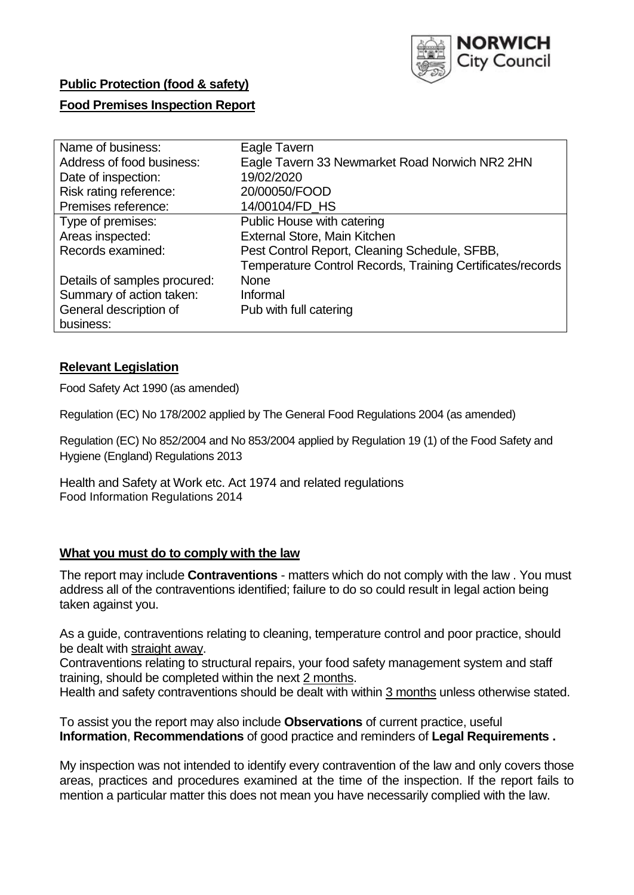

# **Public Protection (food & safety)**

### **Food Premises Inspection Report**

| Name of business:            | Eagle Tavern                                               |
|------------------------------|------------------------------------------------------------|
| Address of food business:    | Eagle Tavern 33 Newmarket Road Norwich NR2 2HN             |
| Date of inspection:          | 19/02/2020                                                 |
| Risk rating reference:       | 20/00050/FOOD                                              |
| Premises reference:          | 14/00104/FD HS                                             |
| Type of premises:            | Public House with catering                                 |
| Areas inspected:             | External Store, Main Kitchen                               |
| Records examined:            | Pest Control Report, Cleaning Schedule, SFBB,              |
|                              | Temperature Control Records, Training Certificates/records |
| Details of samples procured: | <b>None</b>                                                |
| Summary of action taken:     | Informal                                                   |
| General description of       | Pub with full catering                                     |
| business:                    |                                                            |

### **Relevant Legislation**

Food Safety Act 1990 (as amended)

Regulation (EC) No 178/2002 applied by The General Food Regulations 2004 (as amended)

Regulation (EC) No 852/2004 and No 853/2004 applied by Regulation 19 (1) of the Food Safety and Hygiene (England) Regulations 2013

Health and Safety at Work etc. Act 1974 and related regulations Food Information Regulations 2014

### **What you must do to comply with the law**

The report may include **Contraventions** - matters which do not comply with the law . You must address all of the contraventions identified; failure to do so could result in legal action being taken against you.

As a guide, contraventions relating to cleaning, temperature control and poor practice, should be dealt with straight away.

Contraventions relating to structural repairs, your food safety management system and staff training, should be completed within the next 2 months.

Health and safety contraventions should be dealt with within 3 months unless otherwise stated.

To assist you the report may also include **Observations** of current practice, useful **Information**, **Recommendations** of good practice and reminders of **Legal Requirements .**

My inspection was not intended to identify every contravention of the law and only covers those areas, practices and procedures examined at the time of the inspection. If the report fails to mention a particular matter this does not mean you have necessarily complied with the law.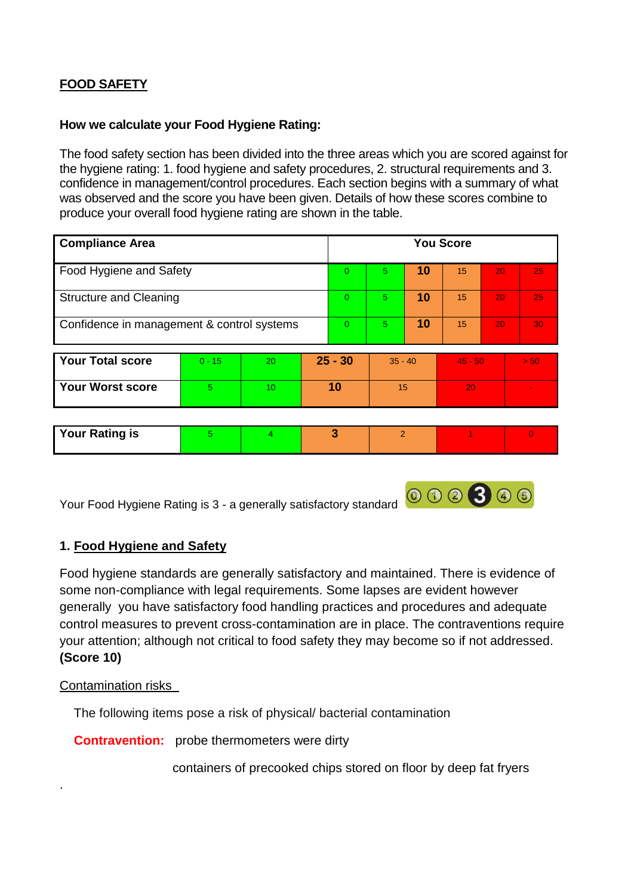# **FOOD SAFETY**

### **How we calculate your Food Hygiene Rating:**

The food safety section has been divided into the three areas which you are scored against for the hygiene rating: 1. food hygiene and safety procedures, 2. structural requirements and 3. confidence in management/control procedures. Each section begins with a summary of what was observed and the score you have been given. Details of how these scores combine to produce your overall food hygiene rating are shown in the table.

| <b>Compliance Area</b>                     |          |    |                | <b>You Score</b> |                |    |           |    |                |
|--------------------------------------------|----------|----|----------------|------------------|----------------|----|-----------|----|----------------|
| Food Hygiene and Safety                    |          |    |                | $\Omega$         | 5              | 10 | 15        | 20 | 25             |
| <b>Structure and Cleaning</b>              |          |    | $\overline{0}$ | 5                | 10             | 15 | 20        | 25 |                |
| Confidence in management & control systems |          |    |                | $\Omega$         | 5.             | 10 | 15        | 20 | 30             |
| <b>Your Total score</b>                    | $0 - 15$ | 20 |                | $25 - 30$        | $35 - 40$      |    | $45 - 50$ |    | > 50           |
| <b>Your Worst score</b>                    | 5        | 10 | 10             |                  | 15             |    | 20        |    |                |
|                                            |          |    |                |                  |                |    |           |    |                |
| <b>Your Rating is</b>                      | 5        | 4  |                | 3                | $\overline{2}$ |    |           |    | $\overline{0}$ |

Your Food Hygiene Rating is 3 - a generally satisfactory standard

# **1. Food Hygiene and Safety**

Food hygiene standards are generally satisfactory and maintained. There is evidence of some non-compliance with legal requirements. Some lapses are evident however generally you have satisfactory food handling practices and procedures and adequate control measures to prevent cross-contamination are in place. The contraventions require your attention; although not critical to food safety they may become so if not addressed. **(Score 10)**

### Contamination risks

.

The following items pose a risk of physical/ bacterial contamination

**Contravention:** probe thermometers were dirty

containers of precooked chips stored on floor by deep fat fryers

000300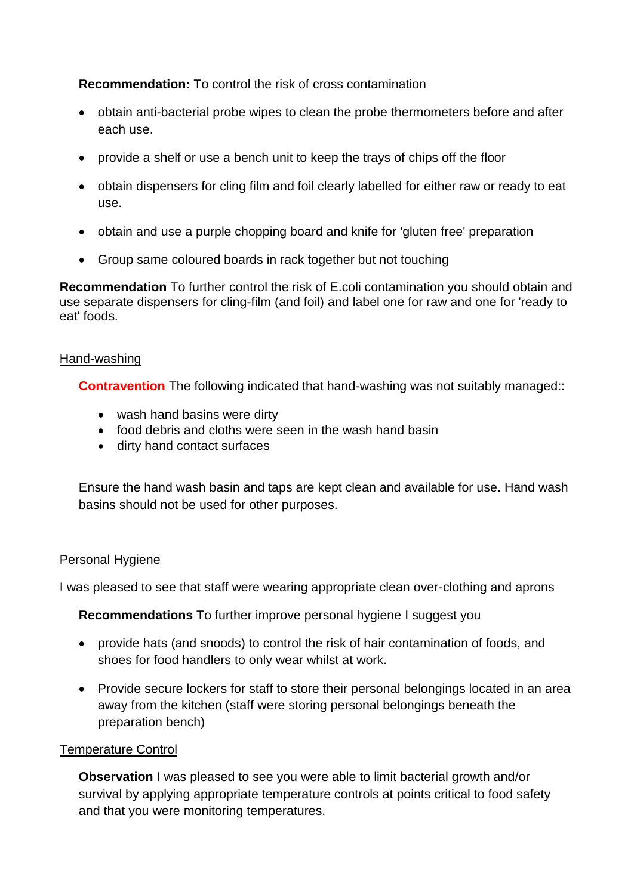**Recommendation:** To control the risk of cross contamination

- obtain anti-bacterial probe wipes to clean the probe thermometers before and after each use.
- provide a shelf or use a bench unit to keep the trays of chips off the floor
- obtain dispensers for cling film and foil clearly labelled for either raw or ready to eat use.
- obtain and use a purple chopping board and knife for 'gluten free' preparation
- Group same coloured boards in rack together but not touching

**Recommendation** To further control the risk of E.coli contamination you should obtain and use separate dispensers for cling-film (and foil) and label one for raw and one for 'ready to eat' foods.

### Hand-washing

**Contravention** The following indicated that hand-washing was not suitably managed::

- wash hand basins were dirty
- food debris and cloths were seen in the wash hand basin
- dirty hand contact surfaces

Ensure the hand wash basin and taps are kept clean and available for use. Hand wash basins should not be used for other purposes.

### Personal Hygiene

I was pleased to see that staff were wearing appropriate clean over-clothing and aprons

**Recommendations** To further improve personal hygiene I suggest you

- provide hats (and snoods) to control the risk of hair contamination of foods, and shoes for food handlers to only wear whilst at work.
- Provide secure lockers for staff to store their personal belongings located in an area away from the kitchen (staff were storing personal belongings beneath the preparation bench)

### Temperature Control

**Observation** I was pleased to see you were able to limit bacterial growth and/or survival by applying appropriate temperature controls at points critical to food safety and that you were monitoring temperatures.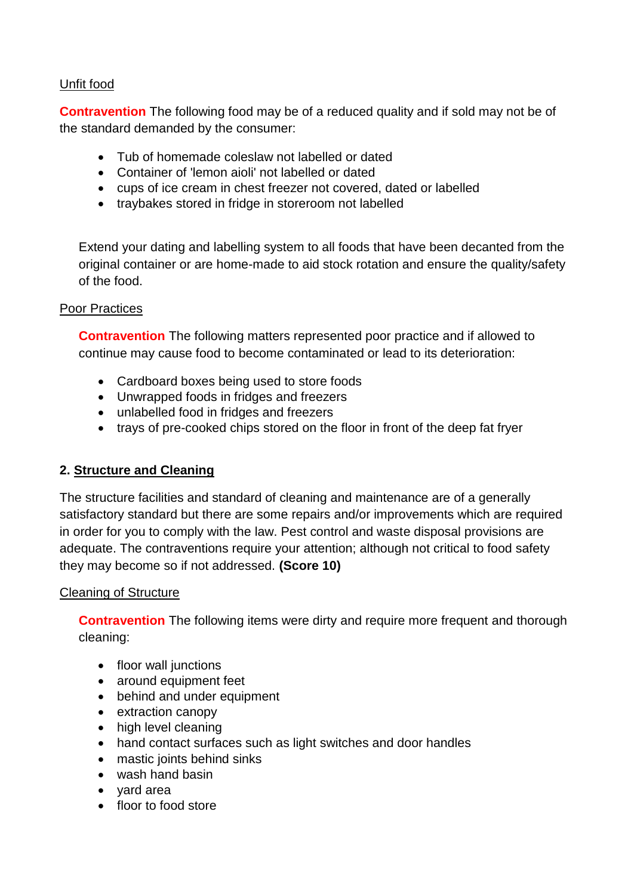# Unfit food

**Contravention** The following food may be of a reduced quality and if sold may not be of the standard demanded by the consumer:

- Tub of homemade coleslaw not labelled or dated
- Container of 'lemon aioli' not labelled or dated
- cups of ice cream in chest freezer not covered, dated or labelled
- traybakes stored in fridge in storeroom not labelled

Extend your dating and labelling system to all foods that have been decanted from the original container or are home-made to aid stock rotation and ensure the quality/safety of the food.

### Poor Practices

**Contravention** The following matters represented poor practice and if allowed to continue may cause food to become contaminated or lead to its deterioration:

- Cardboard boxes being used to store foods
- Unwrapped foods in fridges and freezers
- unlabelled food in fridges and freezers
- trays of pre-cooked chips stored on the floor in front of the deep fat fryer

# **2. Structure and Cleaning**

The structure facilities and standard of cleaning and maintenance are of a generally satisfactory standard but there are some repairs and/or improvements which are required in order for you to comply with the law. Pest control and waste disposal provisions are adequate. The contraventions require your attention; although not critical to food safety they may become so if not addressed. **(Score 10)**

# Cleaning of Structure

**Contravention** The following items were dirty and require more frequent and thorough cleaning:

- floor wall junctions
- around equipment feet
- behind and under equipment
- extraction canopy
- high level cleaning
- hand contact surfaces such as light switches and door handles
- mastic joints behind sinks
- wash hand basin
- vard area
- floor to food store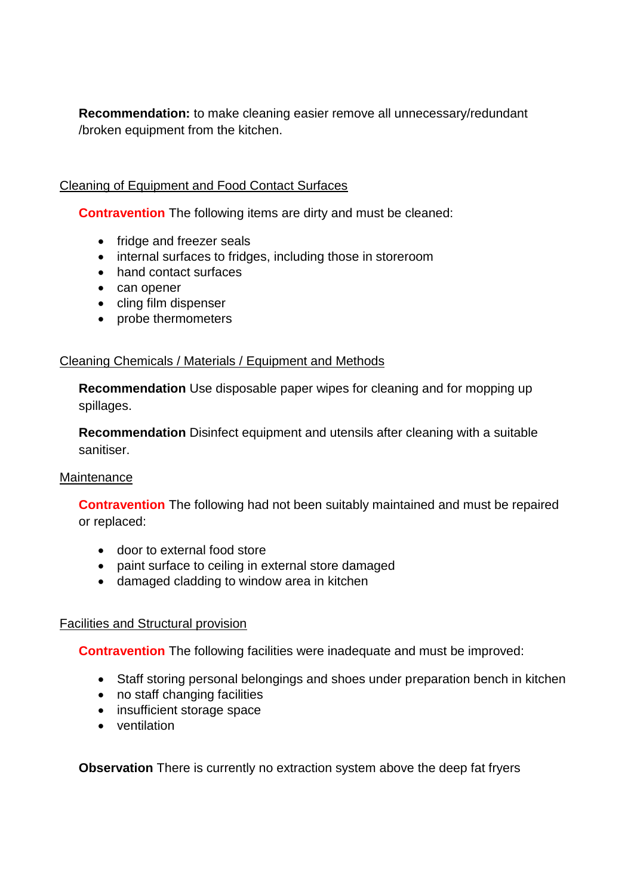**Recommendation:** to make cleaning easier remove all unnecessary/redundant /broken equipment from the kitchen.

# Cleaning of Equipment and Food Contact Surfaces

**Contravention** The following items are dirty and must be cleaned:

- fridge and freezer seals
- internal surfaces to fridges, including those in storeroom
- hand contact surfaces
- can opener
- cling film dispenser
- probe thermometers

### Cleaning Chemicals / Materials / Equipment and Methods

**Recommendation** Use disposable paper wipes for cleaning and for mopping up spillages.

**Recommendation** Disinfect equipment and utensils after cleaning with a suitable sanitiser.

### **Maintenance**

**Contravention** The following had not been suitably maintained and must be repaired or replaced:

- door to external food store
- paint surface to ceiling in external store damaged
- damaged cladding to window area in kitchen

### Facilities and Structural provision

**Contravention** The following facilities were inadequate and must be improved:

- Staff storing personal belongings and shoes under preparation bench in kitchen
- no staff changing facilities
- insufficient storage space
- ventilation

**Observation** There is currently no extraction system above the deep fat fryers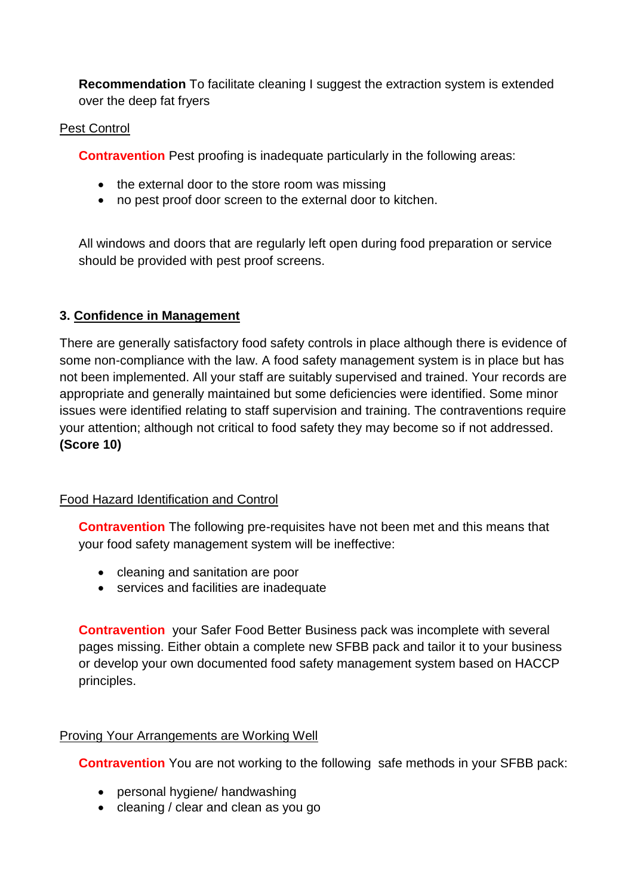**Recommendation** To facilitate cleaning I suggest the extraction system is extended over the deep fat fryers

### Pest Control

**Contravention** Pest proofing is inadequate particularly in the following areas:

- the external door to the store room was missing
- no pest proof door screen to the external door to kitchen.

All windows and doors that are regularly left open during food preparation or service should be provided with pest proof screens.

# **3. Confidence in Management**

There are generally satisfactory food safety controls in place although there is evidence of some non-compliance with the law. A food safety management system is in place but has not been implemented. All your staff are suitably supervised and trained. Your records are appropriate and generally maintained but some deficiencies were identified. Some minor issues were identified relating to staff supervision and training. The contraventions require your attention; although not critical to food safety they may become so if not addressed. **(Score 10)**

### Food Hazard Identification and Control

**Contravention** The following pre-requisites have not been met and this means that your food safety management system will be ineffective:

- cleaning and sanitation are poor
- services and facilities are inadequate

**Contravention** your Safer Food Better Business pack was incomplete with several pages missing. Either obtain a complete new SFBB pack and tailor it to your business or develop your own documented food safety management system based on HACCP principles.

### Proving Your Arrangements are Working Well

**Contravention** You are not working to the following safe methods in your SFBB pack:

- personal hygiene/ handwashing
- cleaning / clear and clean as you go